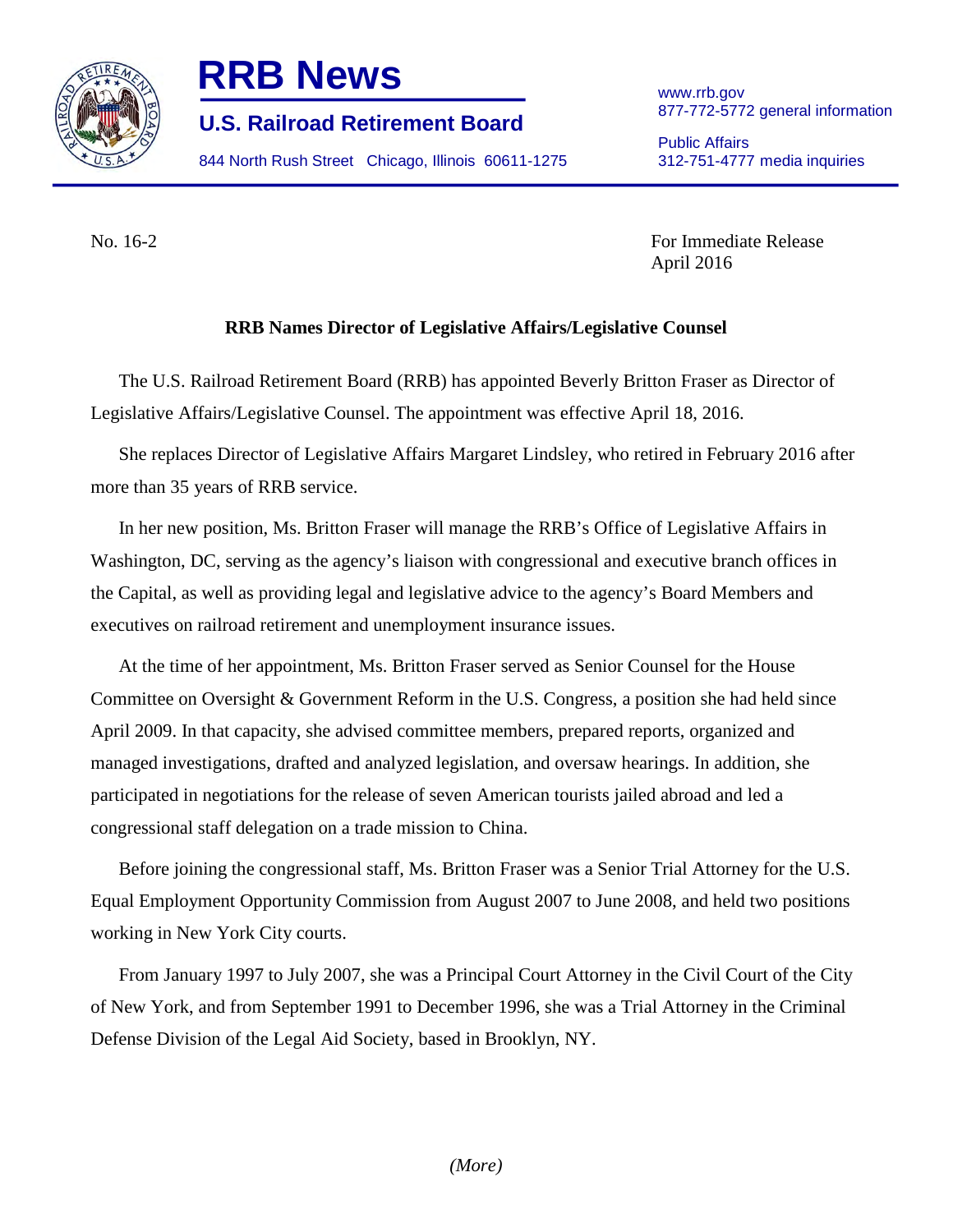

## **RRB News**

**U.S. Railroad Retirement Board** 

844 North Rush Street Chicago, Illinois 60611-1275

www.rrb.gov 877-772-5772 general information

Public Affairs 312-751-4777 media inquiries

No. 16-2

For Immediate Release April 2016

## **RRB Names Director of Legislative Affairs/Legislative Counsel**

The U.S. Railroad Retirement Board (RRB) has appointed Beverly Britton Fraser as Director of Legislative Affairs/Legislative Counsel. The appointment was effective April 18, 2016.

She replaces Director of Legislative Affairs Margaret Lindsley, who retired in February 2016 after more than 35 years of RRB service.

 In her new position, Ms. Britton Fraser will manage the RRB's Office of Legislative Affairs in the Capital, as well as providing legal and legislative advice to the agency's Board Members and executives on railroad retirement and unemployment insurance issues. Washington, DC, serving as the agency's liaison with congressional and executive branch offices in

At the time of her appointment, Ms. Britton Fraser served as Senior Counsel for the House Committee on Oversight & Government Reform in the U.S. Congress, a position she had held since April 2009. In that capacity, she advised committee members, prepared reports, organized and managed investigations, drafted and analyzed legislation, and oversaw hearings. In addition, she participated in negotiations for the release of seven American tourists jailed abroad and led a congressional staff delegation on a trade mission to China.

Before joining the congressional staff, Ms. Britton Fraser was a Senior Trial Attorney for the U.S. Equal Employment Opportunity Commission from August 2007 to June 2008, and held two positions working in New York City courts.

 From January 1997 to July 2007, she was a Principal Court Attorney in the Civil Court of the City of New York, and from September 1991 to December 1996, she was a Trial Attorney in the Criminal Defense Division of the Legal Aid Society, based in Brooklyn, NY.